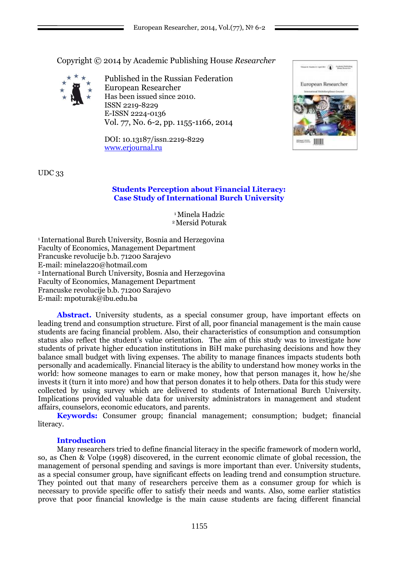Copyright © 2014 by Academic Publishing House *Researcher*



Published in the Russian Federation European Researcher Has been issued since 2010. ISSN 2219-8229 E-ISSN 2224-0136 Vol. 77, No. 6-2, pp. 1155-1166, 2014

DOI: 10.13187/issn.2219-8229 [www.erjournal.ru](http://www.erjournal.ru/)



UDC 33

## **Students Perception about Financial Literacy: Case Study of International Burch University**

<sup>1</sup>Minela Hadzic <sup>2</sup>Mersid Poturak

<sup>1</sup>International Burch University, Bosnia and Herzegovina Faculty of Economics, Management Department Francuske revolucije b.b. 71200 Sarajevo E-mail: [minela220@hotmail.com](mailto:minela220@hotmail.com) <sup>2</sup>International Burch University, Bosnia and Herzegovina Faculty of Economics, Management Department Francuske revolucije b.b. 71200 Sarajevo E-mail: mpoturak@ibu.edu.ba

Abstract. University students, as a special consumer group, have important effects on leading trend and consumption structure. First of all, poor financial management is the main cause students are facing financial problem. Also, their characteristics of consumption and consumption status also reflect the student's value orientation. The aim of this study was to investigate how students of private higher education institutions in BiH make purchasing decisions and how they balance small budget with living expenses. The ability to manage finances impacts students both personally and academically. Financial literacy is the ability to understand how money works in the world: how someone manages to earn or make money, how that person manages it, how he/she invests it (turn it into more) and how that person donates it to help others. Data for this study were collected by using survey which are delivered to students of International Burch University. Implications provided valuable data for university administrators in management and student affairs, counselors, economic educators, and parents.

**Keywords:** Consumer group; financial management; consumption; budget; financial literacy.

### **Introduction**

Many researchers tried to define financial literacy in the specific framework of modern world, so, as Chen & Volpe (1998) discovered, in the current economic climate of global recession, the management of personal spending and savings is more important than ever. University students, as a special consumer group, have significant effects on leading trend and consumption structure. They pointed out that many of researchers perceive them as a consumer group for which is necessary to provide specific offer to satisfy their needs and wants. Also, some earlier statistics prove that poor financial knowledge is the main cause students are facing different financial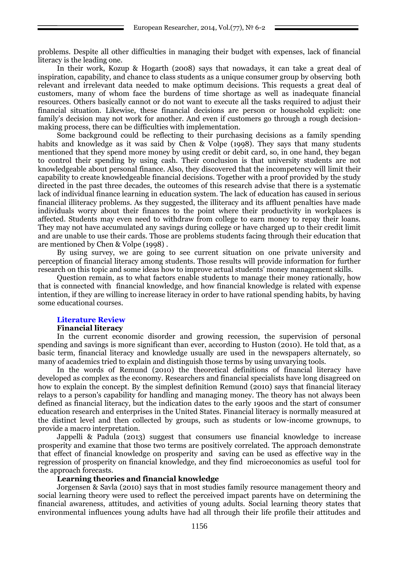problems. Despite all other difficulties in managing their budget with expenses, lack of financial literacy is the leading one.

In their work, Kozup & Hogarth (2008) says that nowadays, it can take a great deal of inspiration, capability, and chance to class students as a unique consumer group by observing both relevant and irrelevant data needed to make optimum decisions. This requests a great deal of customers, many of whom face the burdens of time shortage as well as inadequate financial resources. Others basically cannot or do not want to execute all the tasks required to adjust their financial situation. Likewise, these financial decisions are person or household explicit: one family's decision may not work for another. And even if customers go through a rough decisionmaking process, there can be difficulties with implementation.

Some background could be reflecting to their purchasing decisions as a family spending habits and knowledge as it was said by Chen & Volpe (1998). They says that many students mentioned that they spend more money by using credit or debit card, so, in one hand, they began to control their spending by using cash. Their conclusion is that university students are not knowledgeable about personal finance. Also, they discovered that the incompetency will limit their capability to create knowledgeable financial decisions. Together with a proof provided by the study directed in the past three decades, the outcomes of this research advise that there is a systematic lack of individual finance learning in education system. The lack of education has caused in serious financial illiteracy problems. As they suggested, the illiteracy and its affluent penalties have made individuals worry about their finances to the point where their productivity in workplaces is affected. Students may even need to withdraw from college to earn money to repay their loans. They may not have accumulated any savings during college or have charged up to their credit limit and are unable to use their cards. Those are problems students facing through their education that are mentioned by Chen & Volpe (1998) .

By using survey, we are going to see current situation on one private university and perception of financial literacy among students. Those results will provide information for further research on this topic and some ideas how to improve actual students' money management skills.

Question remain, as to what factors enable students to manage their money rationally, how that is connected with financial knowledge, and how financial knowledge is related with expense intention, if they are willing to increase literacy in order to have rational spending habits, by having some educational courses.

### **Literature Review**

#### **Financial literacy**

In the current economic disorder and growing recession, the supervision of personal spending and savings is more significant than ever, according to Huston (2010). He told that, as a basic term, financial literacy and knowledge usually are used in the newspapers alternately, so many of academics tried to explain and distinguish those terms by using unvarying tools.

In the words of Remund (2010) the theoretical definitions of financial literacy have developed as complex as the economy. Researchers and financial specialists have long disagreed on how to explain the concept. By the simplest definition Remund (2010) says that financial literacy relays to a person's capability for handling and managing money. The theory has not always been defined as financial literacy, but the indication dates to the early 1900s and the start of consumer education research and enterprises in the United States. Financial literacy is normally measured at the distinct level and then collected by groups, such as students or low-income grownups, to provide a macro interpretation.

Jappelli & Padula (2013) suggest that consumers use financial knowledge to increase prosperity and examine that those two terms are positively correlated. The approach demonstrate that effect of financial knowledge on prosperity and saving can be used as effective way in the regression of prosperity on financial knowledge, and they find microeconomics as useful tool for the approach forecasts.

### **Learning theories and financial knowledge**

Jorgensen & Savla (2010) says that in most studies family resource management theory and social learning theory were used to reflect the perceived impact parents have on determining the financial awareness, attitudes, and activities of young adults. Social learning theory states that environmental influences young adults have had all through their life profile their attitudes and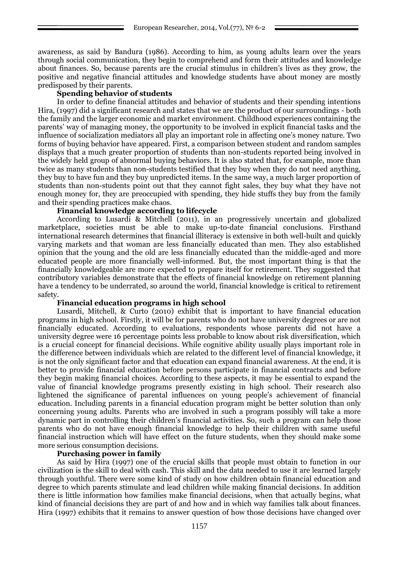awareness, as said by Bandura (1986). According to him, as young adults learn over the years through social communication, they begin to comprehend and form their attitudes and knowledge about finances. So, because parents are the crucial stimulus in children's lives as they grow, the positive and negative financial attitudes and knowledge students have about money are mostly predisposed by their parents.

## **Spending behavior of students**

In order to define financial attitudes and behavior of students and their spending intentions Hira, (1997) did a significant research and states that we are the product of our surroundings - both the family and the larger economic and market environment. Childhood experiences containing the parents' way of managing money, the opportunity to be involved in explicit financial tasks and the influence of socialization mediators all play an important role in affecting one's money nature. Two forms of buying behavior have appeared. First, a comparison between student and random samples displays that a much greater proportion of students than non-students reported being involved in the widely held group of abnormal buying behaviors. It is also stated that, for example, more than twice as many students than non-students testified that they buy when they do not need anything, they buy to have fun and they buy unpredicted items. In the same way, a much larger proportion of students than non-students point out that they cannot fight sales, they buy what they have not enough money for, they are preoccupied with spending, they hide stuffs they buy from the family and their spending practices make chaos.

## **Financial knowledge according to lifecycle**

According to Lusardi & Mitchell (2011), in an progressively uncertain and globalized marketplace, societies must be able to make up-to-date financial conclusions. Firsthand international research determines that financial illiteracy is extensive in both well-built and quickly varying markets and that woman are less financially educated than men. They also established opinion that the young and the old are less financially educated than the middle-aged and more educated people are more financially well-informed. But, the most important thing is that the financially knowledgeable are more expected to prepare itself for retirement. They suggested that contributory variables demonstrate that the effects of financial knowledge on retirement planning have a tendency to be underrated, so around the world, financial knowledge is critical to retirement safety.

### **Financial education programs in high school**

Lusardi, Mitchell, & Curto (2010) exhibit that is important to have financial education programs in high school. Firstly, it will be for parents who do not have university degrees or are not financially educated. According to evaluations, respondents whose parents did not have a university degree were 16 percentage points less probable to know about risk diversification, which is a crucial concept for financial decisions. While cognitive ability usually plays important role in the difference between individuals which are related to the different level of financial knowledge, it is not the only significant factor and that education can expand financial awareness. At the end, it is better to provide financial education before persons participate in financial contracts and before they begin making financial choices. According to these aspects, it may be essential to expand the value of financial knowledge programs presently existing in high school. Their research also lightened the significance of parental influences on young people's achievement of financial education. Including parents in a financial education program might be better solution than only concerning young adults. Parents who are involved in such a program possibly will take a more dynamic part in controlling their children's financial activities. So, such a program can help those parents who do not have enough financial knowledge to help their children with same useful financial instruction which will have effect on the future students, when they should make some more serious consumption decisions.

### **Purchasing power in family**

As said by Hira (1997) one of the crucial skills that people must obtain to function in our civilization is the skill to deal with cash. This skill and the data needed to use it are learned largely through youthful. There were some kind of study on how children obtain financial education and degree to which parents stimulate and lead children while making financial decisions. In addition there is little information how families make financial decisions, when that actually begins, what kind of financial decisions they are part of and how and in which way families talk about finances. Hira (1997) exhibits that it remains to answer question of how those decisions have changed over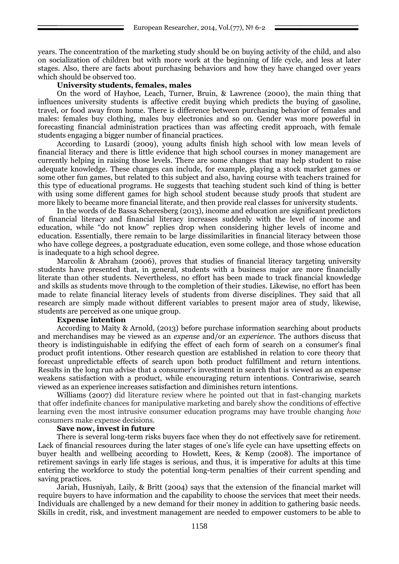years. The concentration of the marketing study should be on buying activity of the child, and also on socialization of children but with more work at the beginning of life cycle, and less at later stages. Also, there are facts about purchasing behaviors and how they have changed over years which should be observed too.

### **University students, females, males**

On the word of Hayhoe, Leach, Turner, Bruin, & Lawrence (2000), the main thing that influences university students is affective credit buying which predicts the buying of gasoline, travel, or food away from home. There is difference between purchasing behavior of females and males: females buy clothing, males buy electronics and so on. Gender was more powerful in forecasting financial administration practices than was affecting credit approach, with female students engaging a bigger number of financial practices.

According to Lusardi (2009), young adults finish high school with low mean levels of financial literacy and there is little evidence that high school courses in money management are currently helping in raising those levels. There are some changes that may help student to raise adequate knowledge. These changes can include, for example, playing a stock market games or some other fun games, but related to this subject and also, having course with teachers trained for this type of educational programs. He suggests that teaching student such kind of thing is better with using some different games for high school student because study proofs that student are more likely to became more financial literate, and then provide real classes for university students.

In the words of de Bassa Scheresberg (2013), income and education are significant predictors of financial literacy and financial literacy increases suddenly with the level of income and education, while "do not know" replies drop when considering higher levels of income and education. Essentially, there remain to be large dissimilarities in financial literacy between those who have college degrees, a postgraduate education, even some college, and those whose education is inadequate to a high school degree.

Marcolin & Abraham (2006), proves that studies of financial literacy targeting university students have presented that, in general, students with a business major are more financially literate than other students. Nevertheless, no effort has been made to track financial knowledge and skills as students move through to the completion of their studies. Likewise, no effort has been made to relate financial literacy levels of students from diverse disciplines. They said that all research are simply made without different variables to present major area of study, likewise, students are perceived as one unique group.

### **Expense intention**

According to Maity & Arnold, (2013) before purchase information searching about products and merchandises may be viewed as an *expense* and/or an *experience*. The authors discuss that theory is indistinguishable in edifying the effect of each form of search on a consumer's final product profit intentions. Other research question are established in relation to core theory that forecast unpredictable effects of search upon both product fulfillment and return intentions. Results in the long run advise that a consumer's investment in search that is viewed as an expense weakens satisfaction with a product, while encouraging return intentions. Contrariwise, search viewed as an experience increases satisfaction and diminishes return intentions.

Williams (2007) did literature review where he pointed out that in fast-changing markets that offer indefinite chances for manipulative marketing and barely show the conditions of effective learning even the most intrusive consumer education programs may have trouble changing *how* consumers make expense decisions.

### **Save now, invest in future**

There is several long-term risks buyers face when they do not effectively save for retirement. Lack of financial resources during the later stages of one's life cycle can have upsetting effects on buyer health and wellbeing according to Howlett, Kees, & Kemp (2008). The importance of retirement savings in early life stages is serious, and thus, it is imperative for adults at this time entering the workforce to study the potential long-term penalties of their current spending and saving practices.

Jariah, Husniyah, Laily, & Britt (2004) says that the extension of the financial market will require buyers to have information and the capability to choose the services that meet their needs. Individuals are challenged by a new demand for their money in addition to gathering basic needs. Skills in credit, risk, and investment management are needed to empower customers to be able to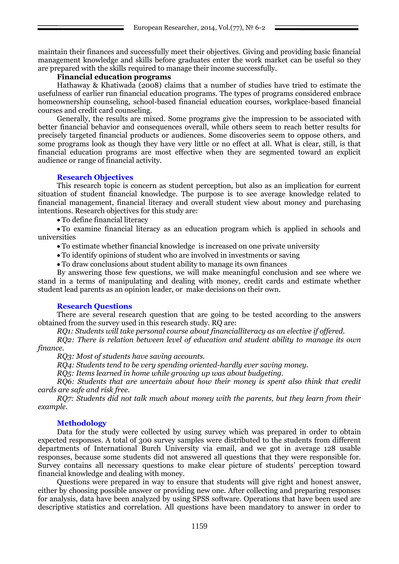maintain their finances and successfully meet their objectives. Giving and providing basic financial management knowledge and skills before graduates enter the work market can be useful so they are prepared with the skills required to manage their income successfully.

# **Financial education programs**

Hathaway & Khatiwada (2008) claims that a number of studies have tried to estimate the usefulness of earlier run financial education programs. The types of programs considered embrace homeownership counseling, school-based financial education courses, workplace-based financial courses and credit card counseling.

Generally, the results are mixed. Some programs give the impression to be associated with better financial behavior and consequences overall, while others seem to reach better results for precisely targeted financial products or audiences. Some discoveries seem to oppose others, and some programs look as though they have very little or no effect at all. What is clear, still, is that financial education programs are most effective when they are segmented toward an explicit audience or range of financial activity.

### **Research Objectives**

This research topic is concern as student perception, but also as an implication for current situation of student financial knowledge. The purpose is to see average knowledge related to financial management, financial literacy and overall student view about money and purchasing intentions. Research objectives for this study are:

To define financial literacy

 To examine financial literacy as an education program which is applied in schools and universities

To estimate whether financial knowledge is increased on one private university

To identify opinions of student who are involved in investments or saving

To draw conclusions about student ability to manage its own finances

By answering those few questions, we will make meaningful conclusion and see where we stand in a terms of manipulating and dealing with money, credit cards and estimate whether student lead parents as an opinion leader, or make decisions on their own.

### **Research Questions**

There are several research question that are going to be tested according to the answers obtained from the survey used in this research study. RQ are:

*RQ1: Students will take personal course about financialliteracy as an elective if offered.* 

*RQ2: There is relation between level of education and student ability to manage its own finance.*

*RQ3: Most of students have saving accounts.*

*RQ4: Students tend to be very spending oriented-hardly ever saving money.*

*RQ5: Items learned in home while growing up was about budgeting.*

*RQ6: Students that are uncertain about how their money is spent also think that credit cards are safe and risk free.*

*RQ7: Students did not talk much about money with the parents, but they learn from their example.*

# **Methodology**

Data for the study were collected by using survey which was prepared in order to obtain expected responses. A total of 300 survey samples were distributed to the students from different departments of International Burch University via email, and we got in average 128 usable responses, because some students did not answered all questions that they were responsible for. Survey contains all necessary questions to make clear picture of students' perception toward financial knowledge and dealing with money.

Questions were prepared in way to ensure that students will give right and honest answer, either by choosing possible answer or providing new one. After collecting and preparing responses for analysis, data have been analyzed by using SPSS software. Operations that have been used are descriptive statistics and correlation. All questions have been mandatory to answer in order to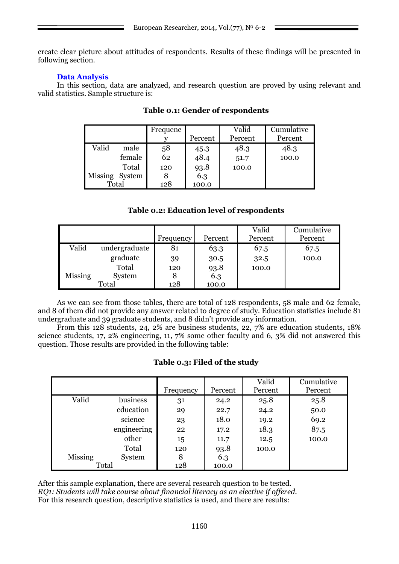create clear picture about attitudes of respondents. Results of these findings will be presented in following section.

# **Data Analysis**

In this section, data are analyzed, and research question are proved by using relevant and valid statistics. Sample structure is:

|       |                | Frequenc |         | Valid   | Cumulative |
|-------|----------------|----------|---------|---------|------------|
|       |                |          | Percent | Percent | Percent    |
| Valid | male           | 58       | 45.3    | 48.3    | 48.3       |
|       | female         | 62       | 48.4    | 51.7    | 100.0      |
|       | Total          | 120      | 93.8    | 100.0   |            |
|       | Missing System |          | 6.3     |         |            |
| Total |                | 128      | 100.0   |         |            |

# **Table 0.1: Gender of respondents**

# **Table 0.2: Education level of respondents**

|         |               |           |         | Valid   | Cumulative |
|---------|---------------|-----------|---------|---------|------------|
|         |               | Frequency | Percent | Percent | Percent    |
| Valid   | undergraduate | 81        | 63.3    | 67.5    | 67.5       |
|         | graduate      | 39        | 30.5    | 32.5    | 100.0      |
|         | Total         | 120       | 93.8    | 100.0   |            |
| Missing | System        | 8         | 6.3     |         |            |
|         | Total         | 128       | 100.0   |         |            |

As we can see from those tables, there are total of 128 respondents, 58 male and 62 female, and 8 of them did not provide any answer related to degree of study. Education statistics include 81 undergraduate and 39 graduate students, and 8 didn't provide any information.

From this 128 students, 24, 2% are business students, 22, 7% are education students, 18% science students, 17, 2% engineering, 11, 7% some other faculty and 6, 3% did not answered this question. Those results are provided in the following table:

# **Table 0.3: Filed of the study**

|         |             | Frequency | Percent | Valid<br>Percent | Cumulative<br>Percent |
|---------|-------------|-----------|---------|------------------|-----------------------|
| Valid   | business    | 31        | 24.2    | 25.8             | 25.8                  |
|         | education   | 29        | 22.7    | 24.2             | 50.0                  |
|         | science     | 23        | 18.0    | 19.2             | 69.2                  |
|         | engineering | 22        | 17.2    | 18.3             | 87.5                  |
|         | other       | 15        | 11.7    | 12.5             | 100.0                 |
|         | Total       | 120       | 93.8    | 100.0            |                       |
| Missing | System      | 8         | 6.3     |                  |                       |
| Total   |             | 128       | 100.0   |                  |                       |

After this sample explanation, there are several research question to be tested. *RQ1: Students will take course about financial literacy as an elective if offered.*  For this research question, descriptive statistics is used, and there are results: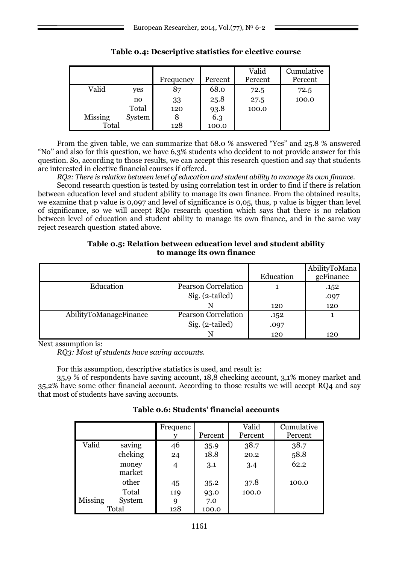|                |        | Frequency | Percent | Valid<br>Percent | Cumulative<br>Percent |
|----------------|--------|-----------|---------|------------------|-----------------------|
| Valid          | yes    | 87        | 68.0    | 72.5             | 72.5                  |
|                | n0     | 33        | 25.8    | 27.5             | 100.0                 |
|                | Total  | 120       | 93.8    | 100.0            |                       |
| <b>Missing</b> | System | 8         | 6.3     |                  |                       |
| Total          |        | 128       | 100.0   |                  |                       |

# **Table 0.4: Descriptive statistics for elective course**

From the given table, we can summarize that  $68.0$  % answered "Yes" and  $25.8$  % answered ―No'' and also for this question, we have 6,3% students who decident to not provide answer for this question. So, according to those results, we can accept this research question and say that students are interested in elective financial courses if offered.

*RQ2: There is relation between level of education and student ability to manage its own finance.*

Second research question is tested by using correlation test in order to find if there is relation between education level and student ability to manage its own finance. From the obtained results, we examine that p value is 0,097 and level of significance is 0,05, thus, p value is bigger than level of significance, so we will accept RQo research question which says that there is no relation between level of education and student ability to manage its own finance, and in the same way reject research question stated above.

## **Table 0.5: Relation between education level and student ability to manage its own finance**

|                        |                            |           | AbilityToMana |
|------------------------|----------------------------|-----------|---------------|
|                        |                            | Education | geFinance     |
| Education              | <b>Pearson Correlation</b> |           | .152          |
|                        | Sig. (2-tailed)            |           | .097          |
|                        |                            | 120       | 120           |
| AbilityToManageFinance | <b>Pearson Correlation</b> | .152      |               |
|                        | Sig. (2-tailed)            | .097      |               |
|                        |                            | 120       | 120           |

Next assumption is:

*RQ3: Most of students have saving accounts.*

For this assumption, descriptive statistics is used, and result is:

35,9 % of respondents have saving account, 18,8 checking account, 3,1% money market and 35,2% have some other financial account. According to those results we will accept RQ4 and say that most of students have saving accounts.

|         |                 | Frequenc | Percent | Valid<br>Percent | Cumulative<br>Percent |
|---------|-----------------|----------|---------|------------------|-----------------------|
| Valid   | saving          | 46       | 35.9    | 38.7             | 38.7                  |
|         | cheking         | 24       | 18.8    | 20.2             | 58.8                  |
|         | money<br>market | 4        | 3.1     | 3.4              | 62.2                  |
|         | other           | 45       | 35.2    | 37.8             | 100.0                 |
|         | Total           | 119      | 93.0    | 100.0            |                       |
| Missing | System          | 9        | 7.0     |                  |                       |
|         | Total           | 128      | 100.0   |                  |                       |

# **Table 0.6: Students' financial accounts**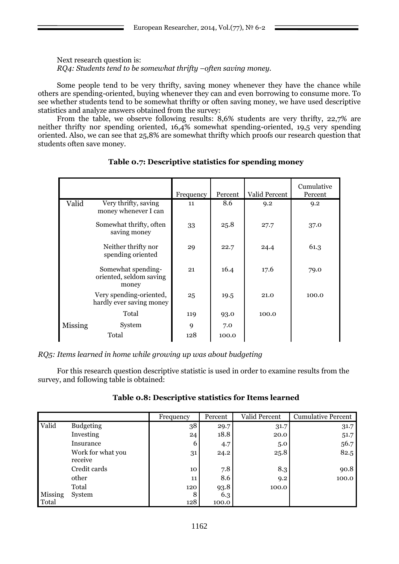Next research question is: *RQ4: Students tend to be somewhat thrifty –often saving money.* 

Some people tend to be very thrifty, saving money whenever they have the chance while others are spending-oriented, buying whenever they can and even borrowing to consume more. To see whether students tend to be somewhat thrifty or often saving money, we have used descriptive statistics and analyze answers obtained from the survey:

From the table, we observe following results: 8,6% students are very thrifty, 22,7% are neither thrifty nor spending oriented, 16,4% somewhat spending-oriented, 19,5 very spending oriented. Also, we can see that 25,8% are somewhat thrifty which proofs our research question that students often save money*.*

|                |                                                        | Frequency | Percent      | Valid Percent | Cumulative<br>Percent |
|----------------|--------------------------------------------------------|-----------|--------------|---------------|-----------------------|
| Valid          | Very thrifty, saving<br>money whenever I can           | 11        | 8.6          | 9.2           | 9.2                   |
|                | Somewhat thrifty, often<br>saving money                | 33        | 25.8         | 27.7          | 37.0                  |
|                | Neither thrifty nor<br>spending oriented               | 29        | 22.7         | 24.4          | 61.3                  |
|                | Somewhat spending-<br>oriented, seldom saving<br>money | 21        | 16.4         | 17.6          | 79.0                  |
|                | Very spending-oriented,<br>hardly ever saving money    | 25        | 19.5         | 21.0          | 100.0                 |
|                | Total                                                  | 119       | 93.0         | 100.0         |                       |
| <b>Missing</b> | System<br>Total                                        | 9<br>128  | 7.0<br>100.0 |               |                       |
|                |                                                        |           |              |               |                       |

**Table 0.7: Descriptive statistics for spending money**

*RQ5: Items learned in home while growing up was about budgeting*

For this research question descriptive statistic is used in order to examine results from the survey, and following table is obtained:

|         |                              | Frequency | Percent | Valid Percent | <b>Cumulative Percent</b> |
|---------|------------------------------|-----------|---------|---------------|---------------------------|
| Valid   | <b>Budgeting</b>             | 38        | 29.7    | 31.7          | 31.7                      |
|         | Investing                    | 24        | 18.8    | 20.0          | 51.7                      |
|         | Insurance                    | 6         | 4.7     | 5.0           | 56.7                      |
|         | Work for what you<br>receive | 31        | 24.2    | 25.8          | 82.5                      |
|         | Credit cards                 | 10        | 7.8     | 8.3           | 90.8                      |
|         | other                        | 11        | 8.6     | 9.2           | 100.0                     |
|         | Total                        | 120       | 93.8    | 100.0         |                           |
| Missing | System                       | 8         | 6.3     |               |                           |
| Total   |                              | 128       | 100.0   |               |                           |

**Table 0.8: Descriptive statistics for Items learned**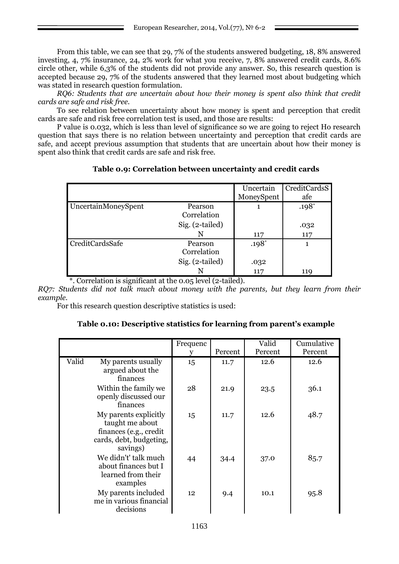From this table, we can see that 29, 7% of the students answered budgeting, 18, 8% answered investing, 4, 7% insurance, 24, 2% work for what you receive, 7, 8% answered credit cards, 8.6% circle other, while 6,3% of the students did not provide any answer. So, this research question is accepted because 29, 7% of the students answered that they learned most about budgeting which was stated in research question formulation.

*RQ6: Students that are uncertain about how their money is spent also think that credit cards are safe and risk free.*

To see relation between uncertainty about how money is spent and perception that credit cards are safe and risk free correlation test is used, and those are results:

P value is 0.032, which is less than level of significance so we are going to reject Ho research question that says there is no relation between uncertainty and perception that credit cards are safe, and accept previous assumption that students that are uncertain about how their money is spent also think that credit cards are safe and risk free.

# **Table 0.9: Correlation between uncertainty and credit cards**

|                        |                 | Uncertain  | CreditCardsS |
|------------------------|-----------------|------------|--------------|
|                        |                 | MoneySpent | afe          |
| UncertainMoneySpent    | Pearson         |            | $.198*$      |
|                        | Correlation     |            |              |
|                        | Sig. (2-tailed) |            | .032         |
|                        | N               | 117        | 117          |
| <b>CreditCardsSafe</b> | Pearson         | $.198*$    |              |
|                        | Correlation     |            |              |
|                        | Sig. (2-tailed) | .032       |              |
|                        | N               | 117        | 119          |

\*. Correlation is significant at the 0.05 level (2-tailed).

*RQ7: Students did not talk much about money with the parents, but they learn from their example.*

For this research question descriptive statistics is used:

# **Table 0.10: Descriptive statistics for learning from parent's example**

|       |                                                                                                           | Frequenc | Percent | Valid<br>Percent | Cumulative<br>Percent |
|-------|-----------------------------------------------------------------------------------------------------------|----------|---------|------------------|-----------------------|
| Valid | My parents usually<br>argued about the<br>finances                                                        | 15       | 11.7    | 12.6             | 12.6                  |
|       | Within the family we<br>openly discussed our<br>finances                                                  | 28       | 21.9    | 23.5             | 36.1                  |
|       | My parents explicitly<br>taught me about<br>finances (e.g., credit<br>cards, debt, budgeting,<br>savings) | 15       | 11.7    | 12.6             | 48.7                  |
|       | We didn't' talk much<br>about finances but I<br>learned from their<br>examples                            | 44       | 34.4    | 37.0             | 85.7                  |
|       | My parents included<br>me in various financial<br>decisions                                               | 12       | 9.4     | 10.1             | 95.8                  |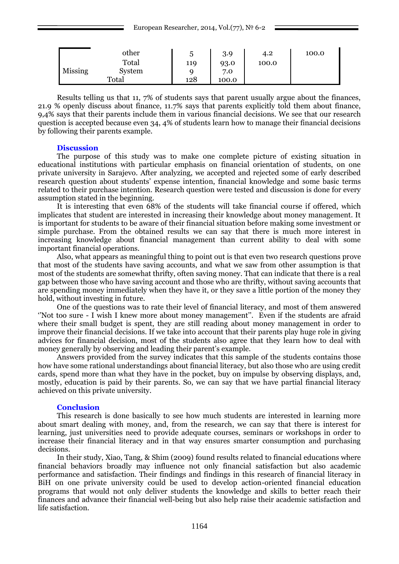|         | other  | G   | 3.9   | 4.2   | 100.0 |
|---------|--------|-----|-------|-------|-------|
|         | Total  | 119 | 93.0  | 100.0 |       |
| Missing | System |     | 7.0   |       |       |
|         | Total  | 128 | 100.0 |       |       |

Results telling us that 11, 7% of students says that parent usually argue about the finances, 21.9 % openly discuss about finance, 11.7% says that parents explicitly told them about finance, 9,4% says that their parents include them in various financial decisions. We see that our research question is accepted because even 34, 4% of students learn how to manage their financial decisions by following their parents example.

### **Discussion**

The purpose of this study was to make one complete picture of existing situation in educational institutions with particular emphasis on financial orientation of students, on one private university in Sarajevo. After analyzing, we accepted and rejected some of early described research question about students' expense intention, financial knowledge and some basic terms related to their purchase intention. Research question were tested and discussion is done for every assumption stated in the beginning.

It is interesting that even 68% of the students will take financial course if offered, which implicates that student are interested in increasing their knowledge about money management. It is important for students to be aware of their financial situation before making some investment or simple purchase. From the obtained results we can say that there is much more interest in increasing knowledge about financial management than current ability to deal with some important financial operations.

Also, what appears as meaningful thing to point out is that even two research questions prove that most of the students have saving accounts, and what we saw from other assumption is that most of the students are somewhat thrifty, often saving money. That can indicate that there is a real gap between those who have saving account and those who are thrifty, without saving accounts that are spending money immediately when they have it, or they save a little portion of the money they hold, without investing in future.

One of the questions was to rate their level of financial literacy, and most of them answered ‗'Not too sure - I wish I knew more about money management''. Even if the students are afraid where their small budget is spent, they are still reading about money management in order to improve their financial decisions. If we take into account that their parents play huge role in giving advices for financial decision, most of the students also agree that they learn how to deal with money generally by observing and leading their parent's example.

Answers provided from the survey indicates that this sample of the students contains those how have some rational understandings about financial literacy, but also those who are using credit cards, spend more than what they have in the pocket, buy on impulse by observing displays, and, mostly, education is paid by their parents. So, we can say that we have partial financial literacy achieved on this private university.

### **Conclusion**

This research is done basically to see how much students are interested in learning more about smart dealing with money, and, from the research, we can say that there is interest for learning, just universities need to provide adequate courses, seminars or workshops in order to increase their financial literacy and in that way ensures smarter consumption and purchasing decisions.

In their study, Xiao, Tang, & Shim (2009) found results related to financial educations where financial behaviors broadly may influence not only financial satisfaction but also academic performance and satisfaction. Their findings and findings in this research of financial literacy in BiH on one private university could be used to develop action-oriented financial education programs that would not only deliver students the knowledge and skills to better reach their finances and advance their financial well-being but also help raise their academic satisfaction and life satisfaction.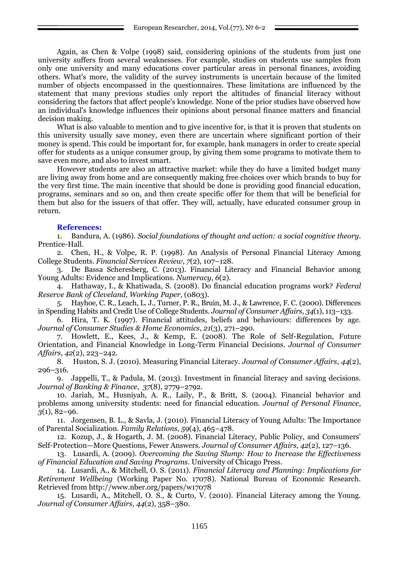Again, as Chen & Volpe (1998) said, considering opinions of the students from just one university suffers from several weaknesses. For example, studies on students use samples from only one university and many educations cover particular areas in personal finances, avoiding others. What's more, the validity of the survey instruments is uncertain because of the limited number of objects encompassed in the questionnaires. These limitations are influenced by the statement that many previous studies only report the altitudes of financial literacy without considering the factors that affect people's knowledge. None of the prior studies have observed how an individual's knowledge influences their opinions about personal finance matters and financial decision making.

What is also valuable to mention and to give incentive for, is that it is proven that students on this university usually save money, even there are uncertain where significant portion of their money is spend. This could be important for, for example, bank managers in order to create special offer for students as a unique consumer group, by giving them some programs to motivate them to save even more, and also to invest smart.

However students are also an attractive market: while they do have a limited budget many are living away from home and are consequently making free choices over which brands to buy for the very first time. The main incentive that should be done is providing good financial education, programs, seminars and so on, and then create specific offer for them that will be beneficial for them but also for the issuers of that offer. They will, actually, have educated consumer group in return.

### **References:**

1. Bandura, A. (1986). *Social foundations of thought and action: a social cognitive theory*. Prentice-Hall.

2. Chen, H., & Volpe, R. P. (1998). An Analysis of Personal Financial Literacy Among College Students. *Financial Services Review*, *7*(2), 107–128.

3. De Bassa Scheresberg, C. (2013). Financial Literacy and Financial Behavior among Young Adults: Evidence and Implications. *Numeracy*, *6*(2).

4. Hathaway, I., & Khatiwada, S. (2008). Do financial education programs work? *Federal Reserve Bank of Cleveland, Working Paper*, (0803).

5. Hayhoe, C. R., Leach, L. J., Turner, P. R., Bruin, M. J., & Lawrence, F. C. (2000). Differences in Spending Habits and Credit Use of College Students. *Journal of Consumer Affairs*, *34*(1), 113–133.

6. Hira, T. K. (1997). Financial attitudes, beliefs and behaviours: differences by age. *Journal of Consumer Studies & Home Economics*, *21*(3), 271–290.

7. Howlett, E., Kees, J., & Kemp, E. (2008). The Role of Self-Regulation, Future Orientation, and Financial Knowledge in Long-Term Financial Decisions. *Journal of Consumer Affairs*, *42*(2), 223–242.

8. Huston, S. J. (2010). Measuring Financial Literacy. *Journal of Consumer Affairs*, *44*(2), 296–316.

9. Jappelli, T., & Padula, M. (2013). Investment in financial literacy and saving decisions. *Journal of Banking & Finance*, *37*(8), 2779–2792.

10. Jariah, M., Husniyah, A. R., Laily, P., & Britt, S. (2004). Financial behavior and problems among university students: need for financial education. *Journal of Personal Finance*, *3*(1), 82–96.

11. Jorgensen, B. L., & Savla, J. (2010). Financial Literacy of Young Adults: The Importance of Parental Socialization. *Family Relations*, *59*(4), 465–478.

12. Kozup, J., & Hogarth, J. M. (2008). Financial Literacy, Public Policy, and Consumers' Self-Protection—More Questions, Fewer Answers. *Journal of Consumer Affairs*, *42*(2), 127–136.

13. Lusardi, A. (2009). *Overcoming the Saving Slump: How to Increase the Effectiveness of Financial Education and Saving Programs*. University of Chicago Press.

14. Lusardi, A., & Mitchell, O. S. (2011). *Financial Literacy and Planning: Implications for Retirement Wellbeing* (Working Paper No. 17078). National Bureau of Economic Research. Retrieved from http://www.nber.org/papers/w17078

15. Lusardi, A., Mitchell, O. S., & Curto, V. (2010). Financial Literacy among the Young. *Journal of Consumer Affairs*, *44*(2), 358–380.